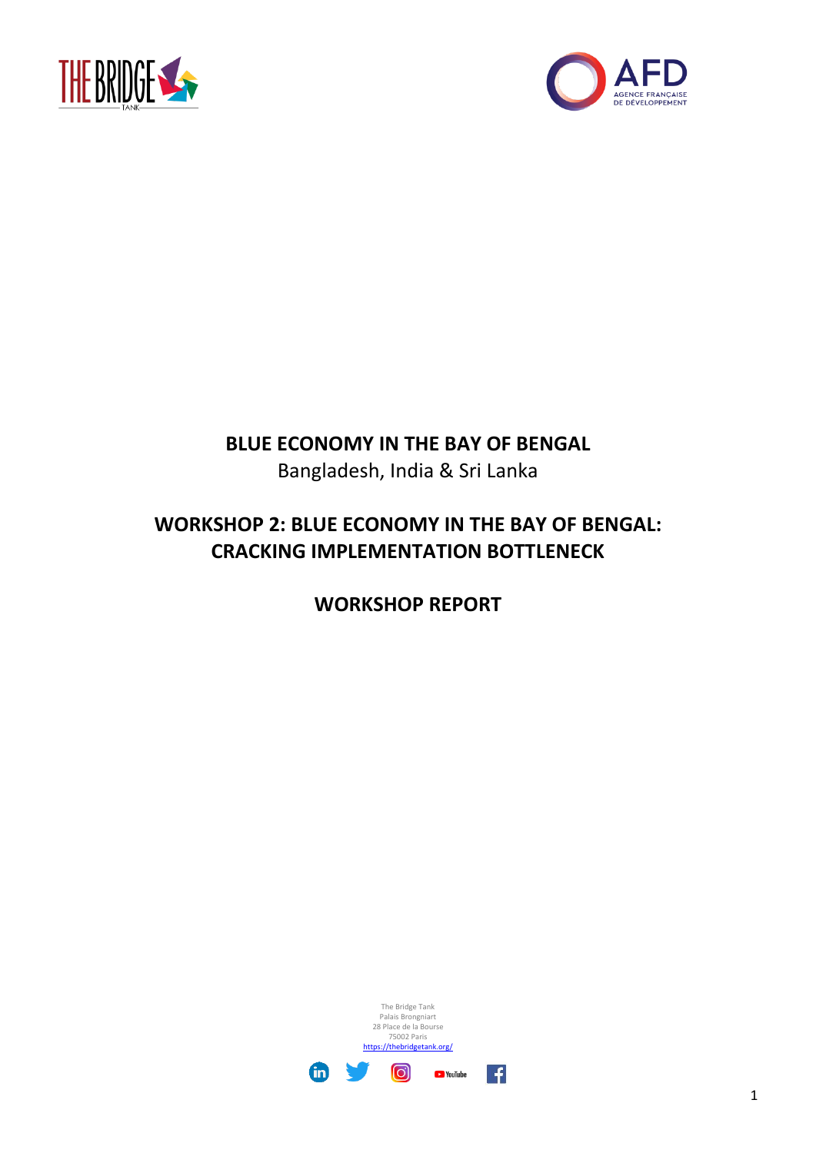



## **BLUE ECONOMY IN THE BAY OF BENGAL**

Bangladesh, India & Sri Lanka

# **WORKSHOP 2: BLUE ECONOMY IN THE BAY OF BENGAL: CRACKING IMPLEMENTATION BOTTLENECK**

**WORKSHOP REPORT**

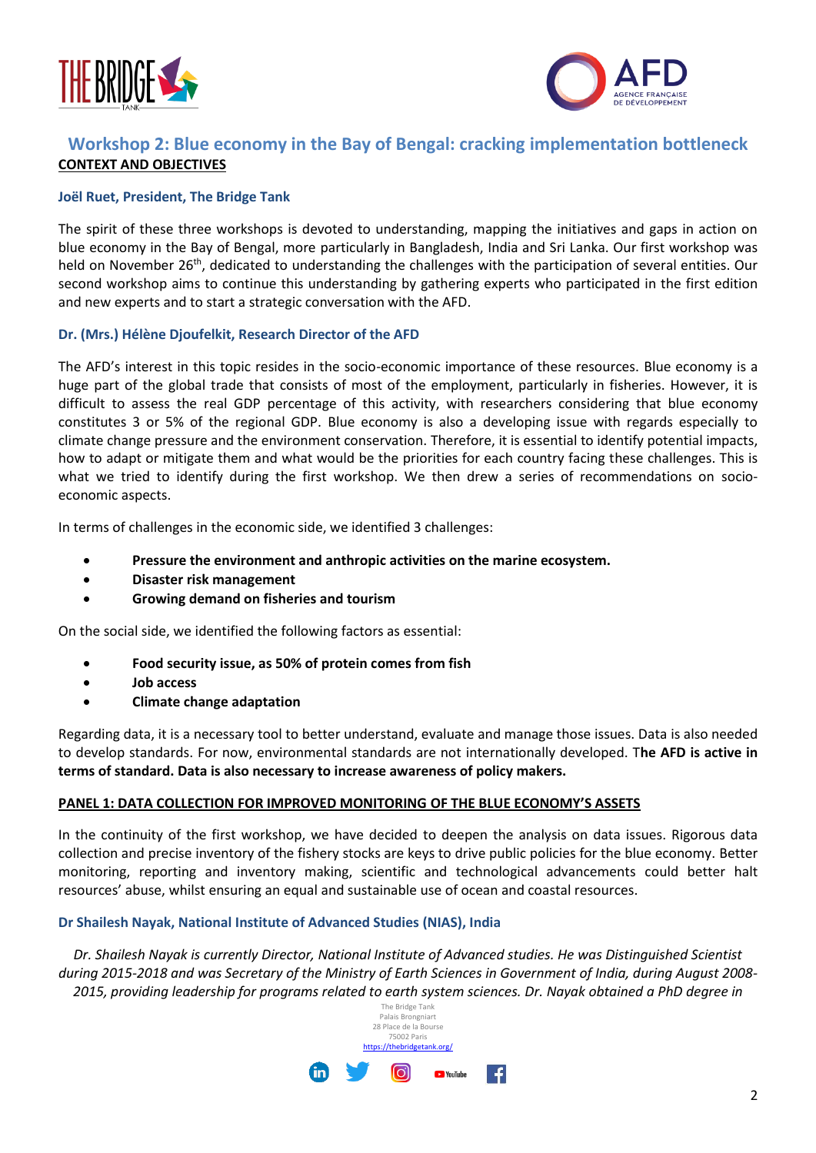



## **Workshop 2: Blue economy in the Bay of Bengal: cracking implementation bottleneck CONTEXT AND OBJECTIVES**

## **Joël Ruet, President, The Bridge Tank**

The spirit of these three workshops is devoted to understanding, mapping the initiatives and gaps in action on blue economy in the Bay of Bengal, more particularly in Bangladesh, India and Sri Lanka. Our first workshop was held on November 26<sup>th</sup>, dedicated to understanding the challenges with the participation of several entities. Our second workshop aims to continue this understanding by gathering experts who participated in the first edition and new experts and to start a strategic conversation with the AFD.

## **Dr. (Mrs.) Hélène Djoufelkit, Research Director of the AFD**

The AFD's interest in this topic resides in the socio-economic importance of these resources. Blue economy is a huge part of the global trade that consists of most of the employment, particularly in fisheries. However, it is difficult to assess the real GDP percentage of this activity, with researchers considering that blue economy constitutes 3 or 5% of the regional GDP. Blue economy is also a developing issue with regards especially to climate change pressure and the environment conservation. Therefore, it is essential to identify potential impacts, how to adapt or mitigate them and what would be the priorities for each country facing these challenges. This is what we tried to identify during the first workshop. We then drew a series of recommendations on socioeconomic aspects.

In terms of challenges in the economic side, we identified 3 challenges:

- **Pressure the environment and anthropic activities on the marine ecosystem.**
- **Disaster risk management**
- **Growing demand on fisheries and tourism**

On the social side, we identified the following factors as essential:

- **Food security issue, as 50% of protein comes from fish**
- **Job access**
- **Climate change adaptation**

Regarding data, it is a necessary tool to better understand, evaluate and manage those issues. Data is also needed to develop standards. For now, environmental standards are not internationally developed. T**he AFD is active in terms of standard. Data is also necessary to increase awareness of policy makers.**

## **PANEL 1: DATA COLLECTION FOR IMPROVED MONITORING OF THE BLUE ECONOMY'S ASSETS**

In the continuity of the first workshop, we have decided to deepen the analysis on data issues. Rigorous data collection and precise inventory of the fishery stocks are keys to drive public policies for the blue economy. Better monitoring, reporting and inventory making, scientific and technological advancements could better halt resources' abuse, whilst ensuring an equal and sustainable use of ocean and coastal resources.

## **Dr Shailesh Nayak, National Institute of Advanced Studies (NIAS), India**

*Dr. Shailesh Nayak is currently Director, National Institute of Advanced studies. He was Distinguished Scientist during 2015-2018 and was Secretary of the Ministry of Earth Sciences in Government of India, during August 2008- 2015, providing leadership for programs related to earth system sciences. Dr. Nayak obtained a PhD degree in* 

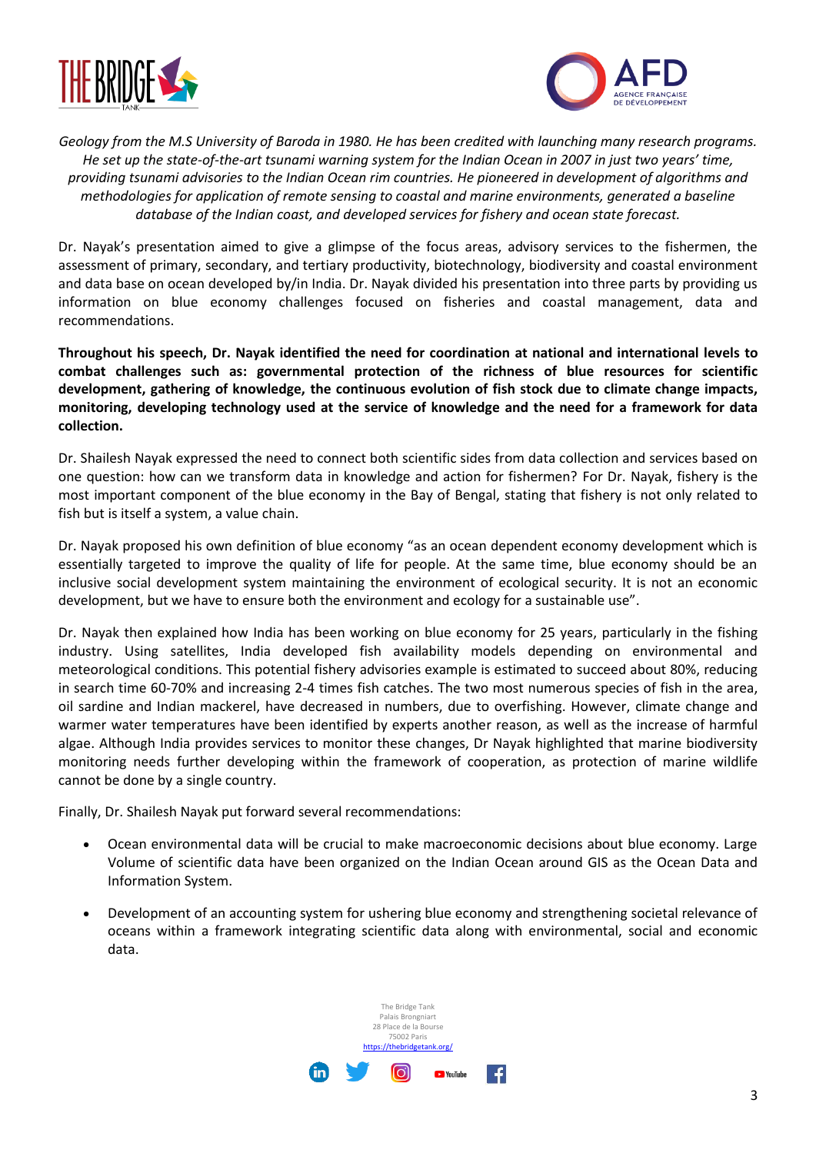



*Geology from the M.S University of Baroda in 1980. He has been credited with launching many research programs. He set up the state-of-the-art tsunami warning system for the Indian Ocean in 2007 in just two years' time, providing tsunami advisories to the Indian Ocean rim countries. He pioneered in development of algorithms and methodologies for application of remote sensing to coastal and marine environments, generated a baseline database of the Indian coast, and developed services for fishery and ocean state forecast.*

Dr. Nayak's presentation aimed to give a glimpse of the focus areas, advisory services to the fishermen, the assessment of primary, secondary, and tertiary productivity, biotechnology, biodiversity and coastal environment and data base on ocean developed by/in India. Dr. Nayak divided his presentation into three parts by providing us information on blue economy challenges focused on fisheries and coastal management, data and recommendations.

**Throughout his speech, Dr. Nayak identified the need for coordination at national and international levels to combat challenges such as: governmental protection of the richness of blue resources for scientific development, gathering of knowledge, the continuous evolution of fish stock due to climate change impacts, monitoring, developing technology used at the service of knowledge and the need for a framework for data collection.**

Dr. Shailesh Nayak expressed the need to connect both scientific sides from data collection and services based on one question: how can we transform data in knowledge and action for fishermen? For Dr. Nayak, fishery is the most important component of the blue economy in the Bay of Bengal, stating that fishery is not only related to fish but is itself a system, a value chain.

Dr. Nayak proposed his own definition of blue economy "as an ocean dependent economy development which is essentially targeted to improve the quality of life for people. At the same time, blue economy should be an inclusive social development system maintaining the environment of ecological security. It is not an economic development, but we have to ensure both the environment and ecology for a sustainable use".

Dr. Nayak then explained how India has been working on blue economy for 25 years, particularly in the fishing industry. Using satellites, India developed fish availability models depending on environmental and meteorological conditions. This potential fishery advisories example is estimated to succeed about 80%, reducing in search time 60-70% and increasing 2-4 times fish catches. The two most numerous species of fish in the area, oil sardine and Indian mackerel, have decreased in numbers, due to overfishing. However, climate change and warmer water temperatures have been identified by experts another reason, as well as the increase of harmful algae. Although India provides services to monitor these changes, Dr Nayak highlighted that marine biodiversity monitoring needs further developing within the framework of cooperation, as protection of marine wildlife cannot be done by a single country.

Finally, Dr. Shailesh Nayak put forward several recommendations:

- Ocean environmental data will be crucial to make macroeconomic decisions about blue economy. Large Volume of scientific data have been organized on the Indian Ocean around GIS as the Ocean Data and Information System.
- Development of an accounting system for ushering blue economy and strengthening societal relevance of oceans within a framework integrating scientific data along with environmental, social and economic data.

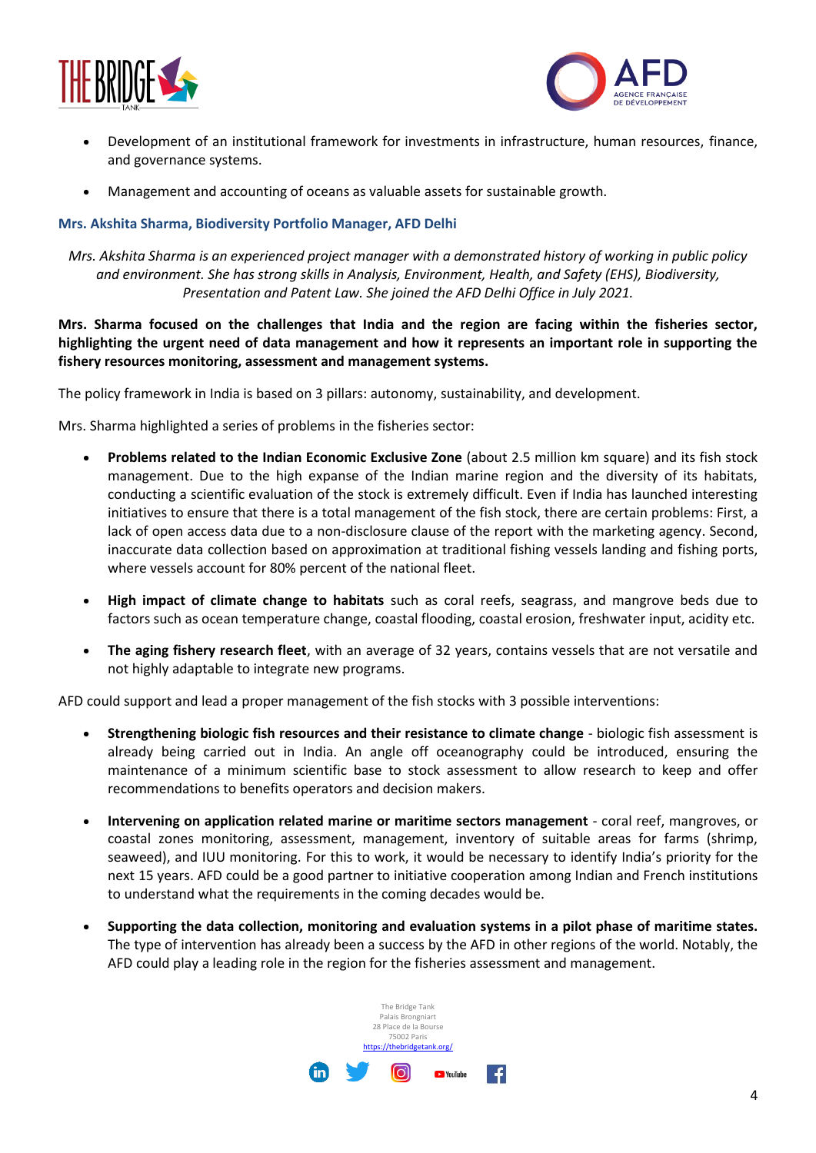



- Development of an institutional framework for investments in infrastructure, human resources, finance, and governance systems.
- Management and accounting of oceans as valuable assets for sustainable growth.

## **Mrs. Akshita Sharma, Biodiversity Portfolio Manager, AFD Delhi**

*Mrs. Akshita Sharma is an experienced project manager with a demonstrated history of working in public policy and environment. She has strong skills in Analysis, Environment, Health, and Safety (EHS), Biodiversity, Presentation and Patent Law. She joined the AFD Delhi Office in July 2021.*

**Mrs. Sharma focused on the challenges that India and the region are facing within the fisheries sector, highlighting the urgent need of data management and how it represents an important role in supporting the fishery resources monitoring, assessment and management systems.**

The policy framework in India is based on 3 pillars: autonomy, sustainability, and development.

Mrs. Sharma highlighted a series of problems in the fisheries sector:

- **Problems related to the Indian Economic Exclusive Zone** (about 2.5 million km square) and its fish stock management. Due to the high expanse of the Indian marine region and the diversity of its habitats, conducting a scientific evaluation of the stock is extremely difficult. Even if India has launched interesting initiatives to ensure that there is a total management of the fish stock, there are certain problems: First, a lack of open access data due to a non-disclosure clause of the report with the marketing agency. Second, inaccurate data collection based on approximation at traditional fishing vessels landing and fishing ports, where vessels account for 80% percent of the national fleet.
- **High impact of climate change to habitats** such as coral reefs, seagrass, and mangrove beds due to factors such as ocean temperature change, coastal flooding, coastal erosion, freshwater input, acidity etc.
- **The aging fishery research fleet**, with an average of 32 years, contains vessels that are not versatile and not highly adaptable to integrate new programs.

AFD could support and lead a proper management of the fish stocks with 3 possible interventions:

- **Strengthening biologic fish resources and their resistance to climate change** biologic fish assessment is already being carried out in India. An angle off oceanography could be introduced, ensuring the maintenance of a minimum scientific base to stock assessment to allow research to keep and offer recommendations to benefits operators and decision makers.
- **Intervening on application related marine or maritime sectors management** coral reef, mangroves, or coastal zones monitoring, assessment, management, inventory of suitable areas for farms (shrimp, seaweed), and IUU monitoring. For this to work, it would be necessary to identify India's priority for the next 15 years. AFD could be a good partner to initiative cooperation among Indian and French institutions to understand what the requirements in the coming decades would be.
- **Supporting the data collection, monitoring and evaluation systems in a pilot phase of maritime states.** The type of intervention has already been a success by the AFD in other regions of the world. Notably, the AFD could play a leading role in the region for the fisheries assessment and management.

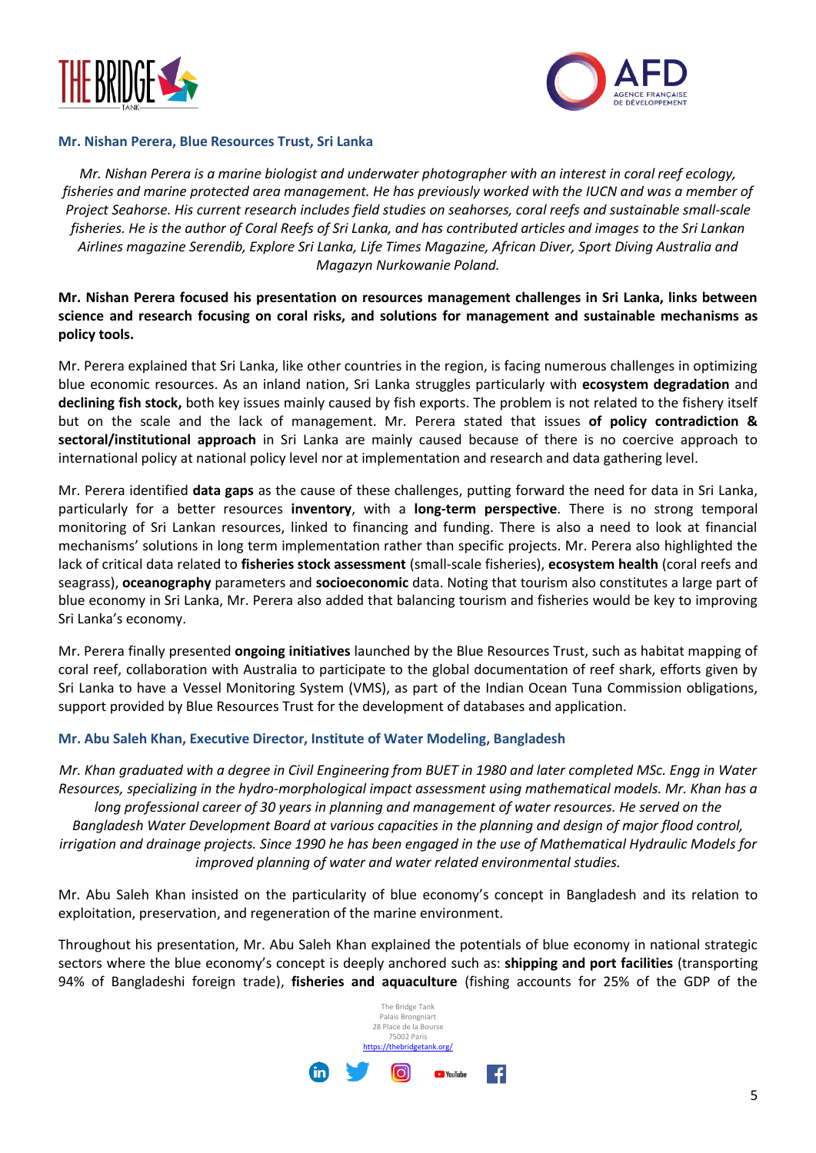



## **Mr. Nishan Perera, Blue Resources Trust, Sri Lanka**

*Mr. Nishan Perera is a marine biologist and underwater photographer with an interest in coral reef ecology, fisheries and marine protected area management. He has previously worked with the IUCN and was a member of Project Seahorse. His current research includes field studies on seahorses, coral reefs and sustainable small-scale fisheries. He is the author of Coral Reefs of Sri Lanka, and has contributed articles and images to the Sri Lankan Airlines magazine Serendib, Explore Sri Lanka, Life Times Magazine, African Diver, Sport Diving Australia and Magazyn Nurkowanie Poland.*

**Mr. Nishan Perera focused his presentation on resources management challenges in Sri Lanka, links between science and research focusing on coral risks, and solutions for management and sustainable mechanisms as policy tools.**

Mr. Perera explained that Sri Lanka, like other countries in the region, is facing numerous challenges in optimizing blue economic resources. As an inland nation, Sri Lanka struggles particularly with **ecosystem degradation** and **declining fish stock,** both key issues mainly caused by fish exports. The problem is not related to the fishery itself but on the scale and the lack of management. Mr. Perera stated that issues **of policy contradiction & sectoral/institutional approach** in Sri Lanka are mainly caused because of there is no coercive approach to international policy at national policy level nor at implementation and research and data gathering level.

Mr. Perera identified **data gaps** as the cause of these challenges, putting forward the need for data in Sri Lanka, particularly for a better resources **inventory**, with a **long-term perspective**. There is no strong temporal monitoring of Sri Lankan resources, linked to financing and funding. There is also a need to look at financial mechanisms' solutions in long term implementation rather than specific projects. Mr. Perera also highlighted the lack of critical data related to **fisheries stock assessment** (small-scale fisheries), **ecosystem health** (coral reefs and seagrass), **oceanography** parameters and **socioeconomic** data. Noting that tourism also constitutes a large part of blue economy in Sri Lanka, Mr. Perera also added that balancing tourism and fisheries would be key to improving Sri Lanka's economy.

Mr. Perera finally presented **ongoing initiatives** launched by the Blue Resources Trust, such as habitat mapping of coral reef, collaboration with Australia to participate to the global documentation of reef shark, efforts given by Sri Lanka to have a Vessel Monitoring System (VMS), as part of the Indian Ocean Tuna Commission obligations, support provided by Blue Resources Trust for the development of databases and application.

## **Mr. Abu Saleh Khan, Executive Director, Institute of Water Modeling, Bangladesh**

*Mr. Khan graduated with a degree in Civil Engineering from BUET in 1980 and later completed MSc. Engg in Water Resources, specializing in the hydro-morphological impact assessment using mathematical models. Mr. Khan has a long professional career of 30 years in planning and management of water resources. He served on the Bangladesh Water Development Board at various capacities in the planning and design of major flood control, irrigation and drainage projects. Since 1990 he has been engaged in the use of Mathematical Hydraulic Models for improved planning of water and water related environmental studies.*

Mr. Abu Saleh Khan insisted on the particularity of blue economy's concept in Bangladesh and its relation to exploitation, preservation, and regeneration of the marine environment.

Throughout his presentation, Mr. Abu Saleh Khan explained the potentials of blue economy in national strategic sectors where the blue economy's concept is deeply anchored such as: **shipping and port facilities** (transporting 94% of Bangladeshi foreign trade), **fisheries and aquaculture** (fishing accounts for 25% of the GDP of the

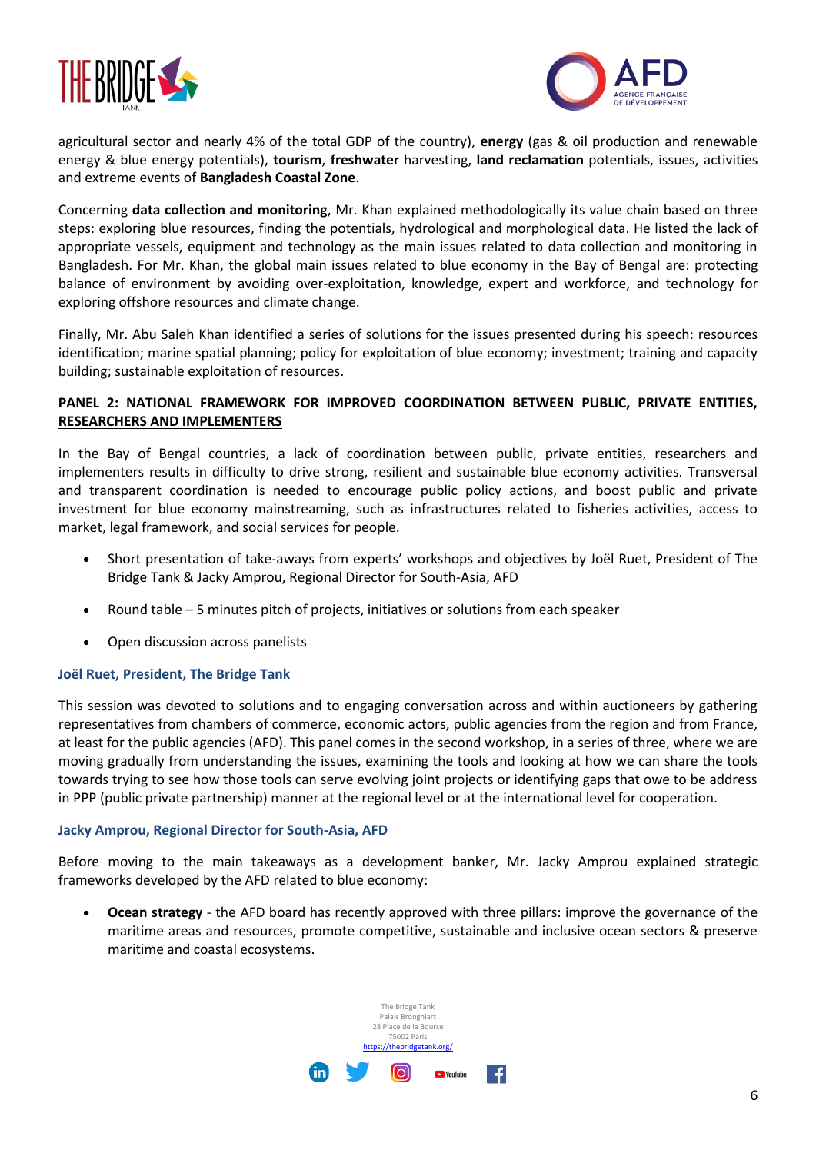



agricultural sector and nearly 4% of the total GDP of the country), **energy** (gas & oil production and renewable energy & blue energy potentials), **tourism**, **freshwater** harvesting, **land reclamation** potentials, issues, activities and extreme events of **Bangladesh Coastal Zone**.

Concerning **data collection and monitoring**, Mr. Khan explained methodologically its value chain based on three steps: exploring blue resources, finding the potentials, hydrological and morphological data. He listed the lack of appropriate vessels, equipment and technology as the main issues related to data collection and monitoring in Bangladesh. For Mr. Khan, the global main issues related to blue economy in the Bay of Bengal are: protecting balance of environment by avoiding over-exploitation, knowledge, expert and workforce, and technology for exploring offshore resources and climate change.

Finally, Mr. Abu Saleh Khan identified a series of solutions for the issues presented during his speech: resources identification; marine spatial planning; policy for exploitation of blue economy; investment; training and capacity building; sustainable exploitation of resources.

## **PANEL 2: NATIONAL FRAMEWORK FOR IMPROVED COORDINATION BETWEEN PUBLIC, PRIVATE ENTITIES, RESEARCHERS AND IMPLEMENTERS**

In the Bay of Bengal countries, a lack of coordination between public, private entities, researchers and implementers results in difficulty to drive strong, resilient and sustainable blue economy activities. Transversal and transparent coordination is needed to encourage public policy actions, and boost public and private investment for blue economy mainstreaming, such as infrastructures related to fisheries activities, access to market, legal framework, and social services for people.

- Short presentation of take-aways from experts' workshops and objectives by Joël Ruet, President of The Bridge Tank & Jacky Amprou, Regional Director for South-Asia, AFD
- Round table 5 minutes pitch of projects, initiatives or solutions from each speaker
- Open discussion across panelists

## **Joël Ruet, President, The Bridge Tank**

This session was devoted to solutions and to engaging conversation across and within auctioneers by gathering representatives from chambers of commerce, economic actors, public agencies from the region and from France, at least for the public agencies (AFD). This panel comes in the second workshop, in a series of three, where we are moving gradually from understanding the issues, examining the tools and looking at how we can share the tools towards trying to see how those tools can serve evolving joint projects or identifying gaps that owe to be address in PPP (public private partnership) manner at the regional level or at the international level for cooperation.

## **Jacky Amprou, Regional Director for South-Asia, AFD**

Before moving to the main takeaways as a development banker, Mr. Jacky Amprou explained strategic frameworks developed by the AFD related to blue economy:

• **Ocean strategy** - the AFD board has recently approved with three pillars: improve the governance of the maritime areas and resources, promote competitive, sustainable and inclusive ocean sectors & preserve maritime and coastal ecosystems.

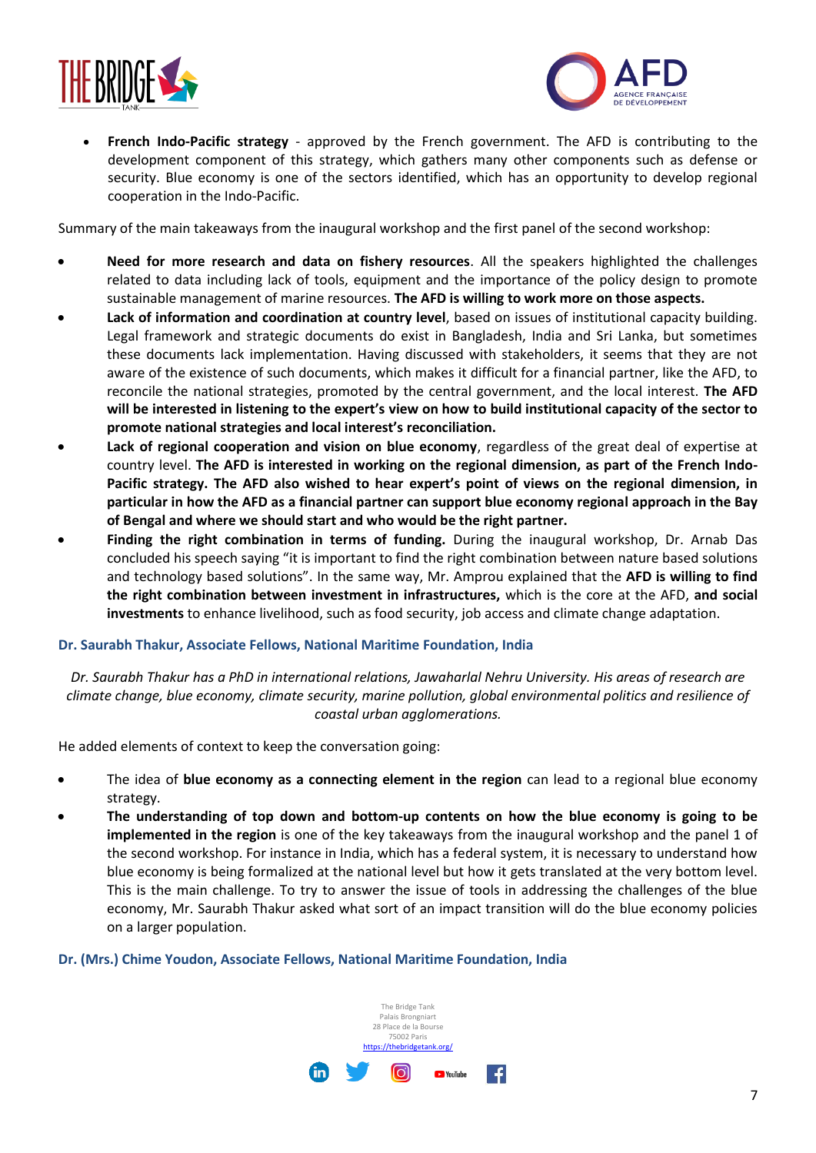



• **French Indo-Pacific strategy** - approved by the French government. The AFD is contributing to the development component of this strategy, which gathers many other components such as defense or security. Blue economy is one of the sectors identified, which has an opportunity to develop regional cooperation in the Indo-Pacific.

Summary of the main takeaways from the inaugural workshop and the first panel of the second workshop:

- **Need for more research and data on fishery resources**. All the speakers highlighted the challenges related to data including lack of tools, equipment and the importance of the policy design to promote sustainable management of marine resources. **The AFD is willing to work more on those aspects.**
- **Lack of information and coordination at country level**, based on issues of institutional capacity building. Legal framework and strategic documents do exist in Bangladesh, India and Sri Lanka, but sometimes these documents lack implementation. Having discussed with stakeholders, it seems that they are not aware of the existence of such documents, which makes it difficult for a financial partner, like the AFD, to reconcile the national strategies, promoted by the central government, and the local interest. **The AFD will be interested in listening to the expert's view on how to build institutional capacity of the sector to promote national strategies and local interest's reconciliation.**
- Lack of regional cooperation and vision on blue economy, regardless of the great deal of expertise at country level. **The AFD is interested in working on the regional dimension, as part of the French Indo-Pacific strategy. The AFD also wished to hear expert's point of views on the regional dimension, in particular in how the AFD as a financial partner can support blue economy regional approach in the Bay of Bengal and where we should start and who would be the right partner.**
- **Finding the right combination in terms of funding.** During the inaugural workshop, Dr. Arnab Das concluded his speech saying "it is important to find the right combination between nature based solutions and technology based solutions". In the same way, Mr. Amprou explained that the **AFD is willing to find the right combination between investment in infrastructures,** which is the core at the AFD, **and social investments** to enhance livelihood, such as food security, job access and climate change adaptation.

## **Dr. Saurabh Thakur, Associate Fellows, National Maritime Foundation, India**

*Dr. Saurabh Thakur has a PhD in international relations, Jawaharlal Nehru University. His areas of research are climate change, blue economy, climate security, marine pollution, global environmental politics and resilience of coastal urban agglomerations.*

He added elements of context to keep the conversation going:

- The idea of **blue economy as a connecting element in the region** can lead to a regional blue economy strategy.
- **The understanding of top down and bottom-up contents on how the blue economy is going to be implemented in the region** is one of the key takeaways from the inaugural workshop and the panel 1 of the second workshop. For instance in India, which has a federal system, it is necessary to understand how blue economy is being formalized at the national level but how it gets translated at the very bottom level. This is the main challenge. To try to answer the issue of tools in addressing the challenges of the blue economy, Mr. Saurabh Thakur asked what sort of an impact transition will do the blue economy policies on a larger population.

#### **Dr. (Mrs.) Chime Youdon, Associate Fellows, National Maritime Foundation, India**

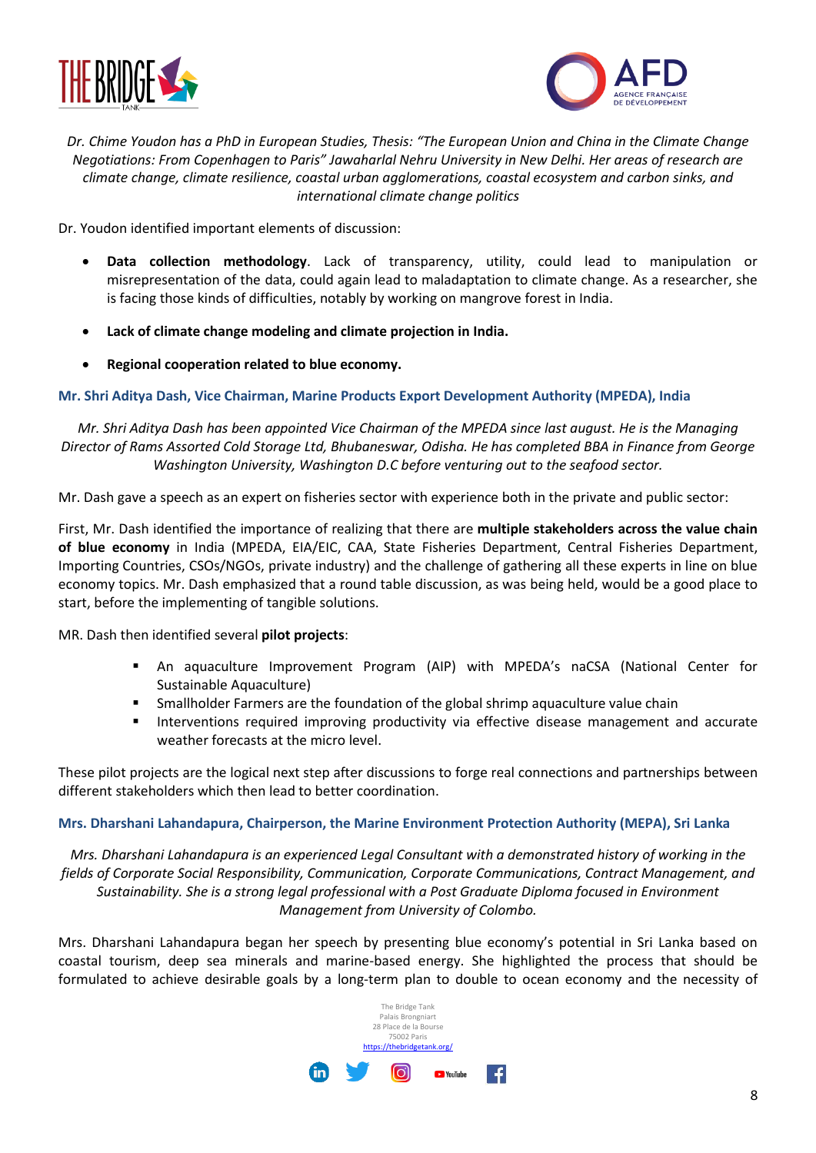



## *Dr. Chime Youdon has a PhD in European Studies, Thesis: "The European Union and China in the Climate Change Negotiations: From Copenhagen to Paris" Jawaharlal Nehru University in New Delhi. Her areas of research are climate change, climate resilience, coastal urban agglomerations, coastal ecosystem and carbon sinks, and international climate change politics*

Dr. Youdon identified important elements of discussion:

- **Data collection methodology**. Lack of transparency, utility, could lead to manipulation or misrepresentation of the data, could again lead to maladaptation to climate change. As a researcher, she is facing those kinds of difficulties, notably by working on mangrove forest in India.
- **Lack of climate change modeling and climate projection in India.**
- **Regional cooperation related to blue economy.**

## **Mr. Shri Aditya Dash, Vice Chairman, Marine Products Export Development Authority (MPEDA), India**

*Mr. Shri Aditya Dash has been appointed Vice Chairman of the MPEDA since last august. He is the Managing Director of Rams Assorted Cold Storage Ltd, Bhubaneswar, Odisha. He has completed BBA in Finance from George Washington University, Washington D.C before venturing out to the seafood sector.*

Mr. Dash gave a speech as an expert on fisheries sector with experience both in the private and public sector:

First, Mr. Dash identified the importance of realizing that there are **multiple stakeholders across the value chain of blue economy** in India (MPEDA, EIA/EIC, CAA, State Fisheries Department, Central Fisheries Department, Importing Countries, CSOs/NGOs, private industry) and the challenge of gathering all these experts in line on blue economy topics. Mr. Dash emphasized that a round table discussion, as was being held, would be a good place to start, before the implementing of tangible solutions.

MR. Dash then identified several **pilot projects**:

- An aquaculture Improvement Program (AIP) with MPEDA's naCSA (National Center for Sustainable Aquaculture)
- Smallholder Farmers are the foundation of the global shrimp aquaculture value chain
- Interventions required improving productivity via effective disease management and accurate weather forecasts at the micro level.

These pilot projects are the logical next step after discussions to forge real connections and partnerships between different stakeholders which then lead to better coordination.

## **Mrs. Dharshani Lahandapura, Chairperson, the Marine Environment Protection Authority (MEPA), Sri Lanka**

*Mrs. Dharshani Lahandapura is an experienced Legal Consultant with a demonstrated history of working in the fields of Corporate Social Responsibility, Communication, Corporate Communications, Contract Management, and Sustainability. She is a strong legal professional with a Post Graduate Diploma focused in Environment Management from University of Colombo.*

Mrs. Dharshani Lahandapura began her speech by presenting blue economy's potential in Sri Lanka based on coastal tourism, deep sea minerals and marine-based energy. She highlighted the process that should be formulated to achieve desirable goals by a long-term plan to double to ocean economy and the necessity of

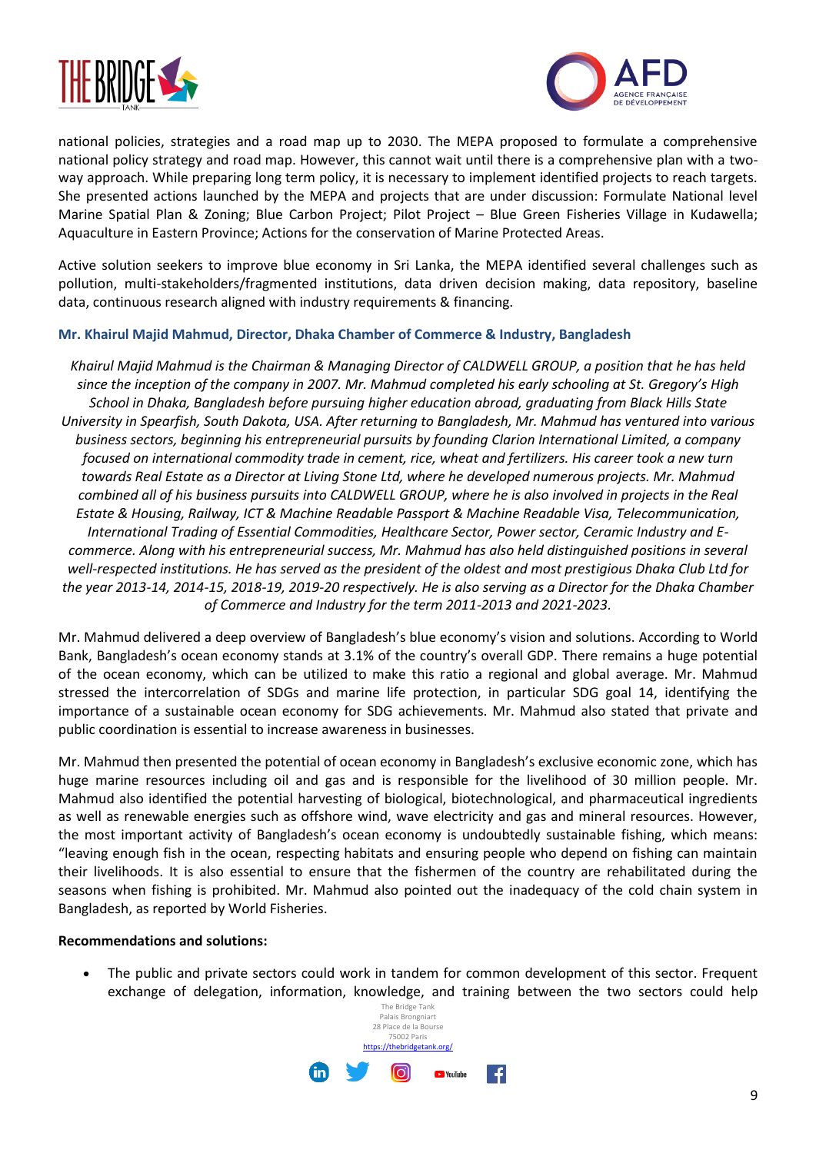



national policies, strategies and a road map up to 2030. The MEPA proposed to formulate a comprehensive national policy strategy and road map. However, this cannot wait until there is a comprehensive plan with a twoway approach. While preparing long term policy, it is necessary to implement identified projects to reach targets. She presented actions launched by the MEPA and projects that are under discussion: Formulate National level Marine Spatial Plan & Zoning; Blue Carbon Project; Pilot Project – Blue Green Fisheries Village in Kudawella; Aquaculture in Eastern Province; Actions for the conservation of Marine Protected Areas.

Active solution seekers to improve blue economy in Sri Lanka, the MEPA identified several challenges such as pollution, multi-stakeholders/fragmented institutions, data driven decision making, data repository, baseline data, continuous research aligned with industry requirements & financing.

## **Mr. Khairul Majid Mahmud, Director, Dhaka Chamber of Commerce & Industry, Bangladesh**

*Khairul Majid Mahmud is the Chairman & Managing Director of CALDWELL GROUP, a position that he has held since the inception of the company in 2007. Mr. Mahmud completed his early schooling at St. Gregory's High School in Dhaka, Bangladesh before pursuing higher education abroad, graduating from Black Hills State University in Spearfish, South Dakota, USA. After returning to Bangladesh, Mr. Mahmud has ventured into various business sectors, beginning his entrepreneurial pursuits by founding Clarion International Limited, a company focused on international commodity trade in cement, rice, wheat and fertilizers. His career took a new turn towards Real Estate as a Director at Living Stone Ltd, where he developed numerous projects. Mr. Mahmud combined all of his business pursuits into CALDWELL GROUP, where he is also involved in projects in the Real Estate & Housing, Railway, ICT & Machine Readable Passport & Machine Readable Visa, Telecommunication, International Trading of Essential Commodities, Healthcare Sector, Power sector, Ceramic Industry and Ecommerce. Along with his entrepreneurial success, Mr. Mahmud has also held distinguished positions in several well-respected institutions. He has served as the president of the oldest and most prestigious Dhaka Club Ltd for the year 2013-14, 2014-15, 2018-19, 2019-20 respectively. He is also serving as a Director for the Dhaka Chamber of Commerce and Industry for the term 2011-2013 and 2021-2023.*

Mr. Mahmud delivered a deep overview of Bangladesh's blue economy's vision and solutions. According to World Bank, Bangladesh's ocean economy stands at 3.1% of the country's overall GDP. There remains a huge potential of the ocean economy, which can be utilized to make this ratio a regional and global average. Mr. Mahmud stressed the intercorrelation of SDGs and marine life protection, in particular SDG goal 14, identifying the importance of a sustainable ocean economy for SDG achievements. Mr. Mahmud also stated that private and public coordination is essential to increase awareness in businesses.

Mr. Mahmud then presented the potential of ocean economy in Bangladesh's exclusive economic zone, which has huge marine resources including oil and gas and is responsible for the livelihood of 30 million people. Mr. Mahmud also identified the potential harvesting of biological, biotechnological, and pharmaceutical ingredients as well as renewable energies such as offshore wind, wave electricity and gas and mineral resources. However, the most important activity of Bangladesh's ocean economy is undoubtedly sustainable fishing, which means: "leaving enough fish in the ocean, respecting habitats and ensuring people who depend on fishing can maintain their livelihoods. It is also essential to ensure that the fishermen of the country are rehabilitated during the seasons when fishing is prohibited. Mr. Mahmud also pointed out the inadequacy of the cold chain system in Bangladesh, as reported by World Fisheries.

## **Recommendations and solutions:**

• The public and private sectors could work in tandem for common development of this sector. Frequent exchange of delegation, information, knowledge, and training between the two sectors could help

![](_page_8_Picture_10.jpeg)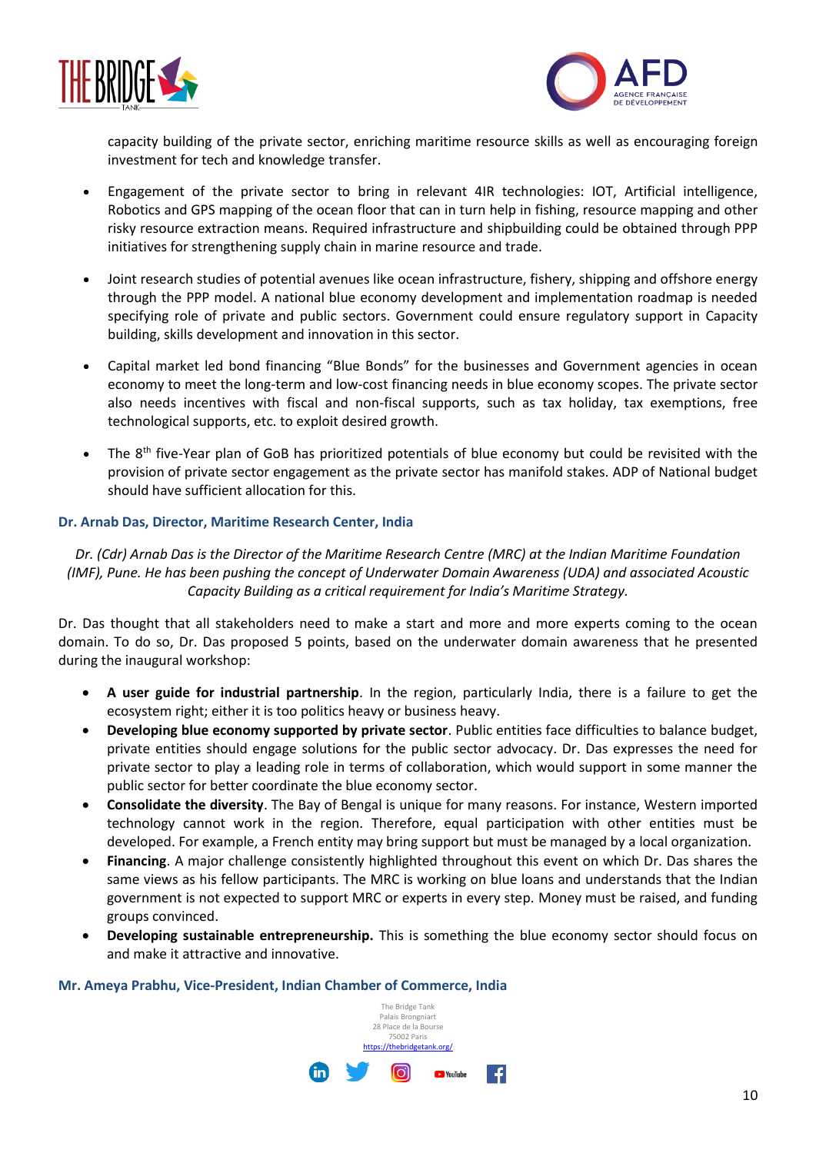![](_page_9_Picture_0.jpeg)

![](_page_9_Picture_1.jpeg)

capacity building of the private sector, enriching maritime resource skills as well as encouraging foreign investment for tech and knowledge transfer.

- Engagement of the private sector to bring in relevant 4IR technologies: IOT, Artificial intelligence, Robotics and GPS mapping of the ocean floor that can in turn help in fishing, resource mapping and other risky resource extraction means. Required infrastructure and shipbuilding could be obtained through PPP initiatives for strengthening supply chain in marine resource and trade.
- Joint research studies of potential avenues like ocean infrastructure, fishery, shipping and offshore energy through the PPP model. A national blue economy development and implementation roadmap is needed specifying role of private and public sectors. Government could ensure regulatory support in Capacity building, skills development and innovation in this sector.
- Capital market led bond financing "Blue Bonds" for the businesses and Government agencies in ocean economy to meet the long-term and low-cost financing needs in blue economy scopes. The private sector also needs incentives with fiscal and non-fiscal supports, such as tax holiday, tax exemptions, free technological supports, etc. to exploit desired growth.
- The  $8<sup>th</sup>$  five-Year plan of GoB has prioritized potentials of blue economy but could be revisited with the provision of private sector engagement as the private sector has manifold stakes. ADP of National budget should have sufficient allocation for this.

## **Dr. Arnab Das, Director, Maritime Research Center, India**

*Dr. (Cdr) Arnab Das is the Director of the Maritime Research Centre (MRC) at the Indian Maritime Foundation (IMF), Pune. He has been pushing the concept of Underwater Domain Awareness (UDA) and associated Acoustic Capacity Building as a critical requirement for India's Maritime Strategy.* 

Dr. Das thought that all stakeholders need to make a start and more and more experts coming to the ocean domain. To do so, Dr. Das proposed 5 points, based on the underwater domain awareness that he presented during the inaugural workshop:

- **A user guide for industrial partnership**. In the region, particularly India, there is a failure to get the ecosystem right; either it is too politics heavy or business heavy.
- **Developing blue economy supported by private sector**. Public entities face difficulties to balance budget, private entities should engage solutions for the public sector advocacy. Dr. Das expresses the need for private sector to play a leading role in terms of collaboration, which would support in some manner the public sector for better coordinate the blue economy sector.
- **Consolidate the diversity**. The Bay of Bengal is unique for many reasons. For instance, Western imported technology cannot work in the region. Therefore, equal participation with other entities must be developed. For example, a French entity may bring support but must be managed by a local organization.
- **Financing**. A major challenge consistently highlighted throughout this event on which Dr. Das shares the same views as his fellow participants. The MRC is working on blue loans and understands that the Indian government is not expected to support MRC or experts in every step. Money must be raised, and funding groups convinced.
- **Developing sustainable entrepreneurship.** This is something the blue economy sector should focus on and make it attractive and innovative.

**Mr. Ameya Prabhu, Vice-President, Indian Chamber of Commerce, India**

![](_page_9_Picture_16.jpeg)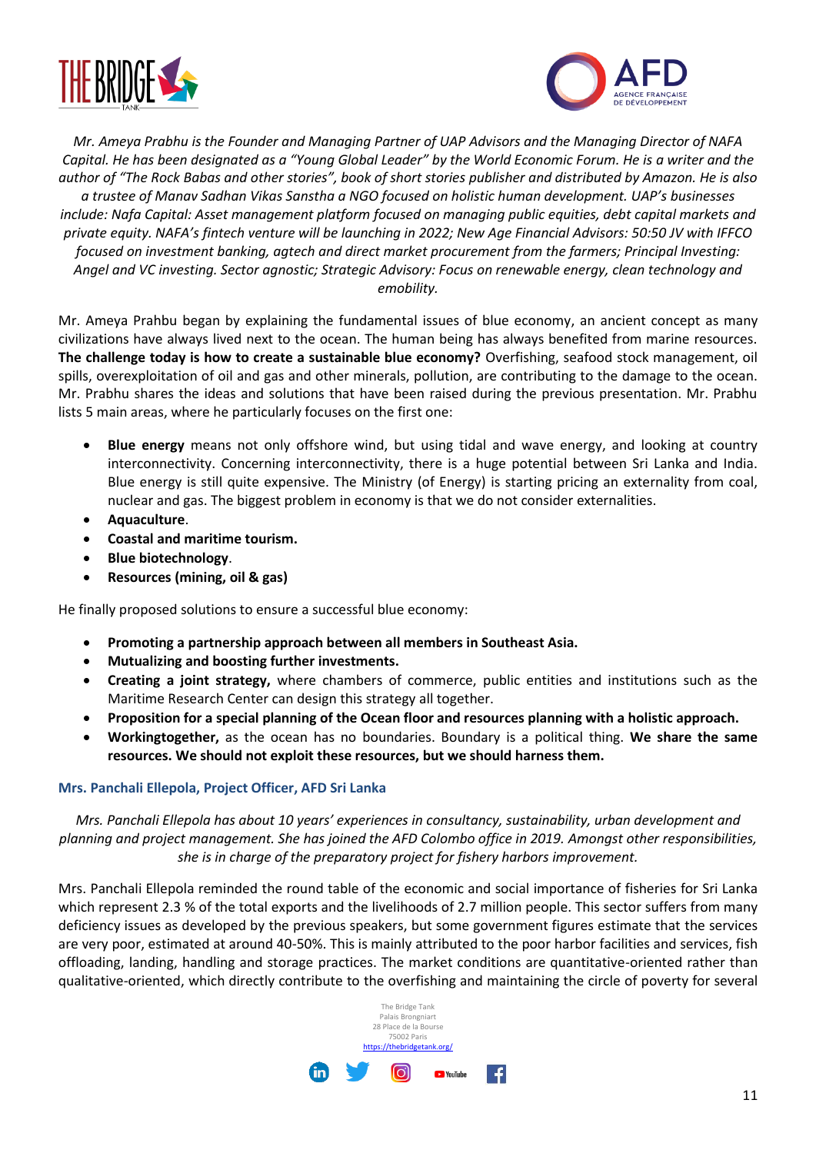![](_page_10_Picture_0.jpeg)

![](_page_10_Picture_1.jpeg)

*Mr. Ameya Prabhu is the Founder and Managing Partner of UAP Advisors and the Managing Director of NAFA Capital. He has been designated as a "Young Global Leader" by the World Economic Forum. He is a writer and the author of "The Rock Babas and other stories", book of short stories publisher and distributed by Amazon. He is also a trustee of Manav Sadhan Vikas Sanstha a NGO focused on holistic human development. UAP's businesses include: Nafa Capital: Asset management platform focused on managing public equities, debt capital markets and private equity. NAFA's fintech venture will be launching in 2022; New Age Financial Advisors: 50:50 JV with IFFCO focused on investment banking, agtech and direct market procurement from the farmers; Principal Investing: Angel and VC investing. Sector agnostic; Strategic Advisory: Focus on renewable energy, clean technology and emobility.*

Mr. Ameya Prahbu began by explaining the fundamental issues of blue economy, an ancient concept as many civilizations have always lived next to the ocean. The human being has always benefited from marine resources. **The challenge today is how to create a sustainable blue economy?** Overfishing, seafood stock management, oil spills, overexploitation of oil and gas and other minerals, pollution, are contributing to the damage to the ocean. Mr. Prabhu shares the ideas and solutions that have been raised during the previous presentation. Mr. Prabhu lists 5 main areas, where he particularly focuses on the first one:

- **Blue energy** means not only offshore wind, but using tidal and wave energy, and looking at country interconnectivity. Concerning interconnectivity, there is a huge potential between Sri Lanka and India. Blue energy is still quite expensive. The Ministry (of Energy) is starting pricing an externality from coal, nuclear and gas. The biggest problem in economy is that we do not consider externalities.
- **Aquaculture**.
- **Coastal and maritime tourism.**
- **Blue biotechnology**.
- **Resources (mining, oil & gas)**

He finally proposed solutions to ensure a successful blue economy:

- **Promoting a partnership approach between all members in Southeast Asia.**
- **Mutualizing and boosting further investments.**
- **Creating a joint strategy,** where chambers of commerce, public entities and institutions such as the Maritime Research Center can design this strategy all together.
- **Proposition for a special planning of the Ocean floor and resources planning with a holistic approach.**
- **Workingtogether,** as the ocean has no boundaries. Boundary is a political thing. **We share the same resources. We should not exploit these resources, but we should harness them.**

## **Mrs. Panchali Ellepola, Project Officer, AFD Sri Lanka**

*Mrs. Panchali Ellepola has about 10 years' experiences in consultancy, sustainability, urban development and planning and project management. She has joined the AFD Colombo office in 2019. Amongst other responsibilities, she is in charge of the preparatory project for fishery harbors improvement.*

Mrs. Panchali Ellepola reminded the round table of the economic and social importance of fisheries for Sri Lanka which represent 2.3 % of the total exports and the livelihoods of 2.7 million people. This sector suffers from many deficiency issues as developed by the previous speakers, but some government figures estimate that the services are very poor, estimated at around 40-50%. This is mainly attributed to the poor harbor facilities and services, fish offloading, landing, handling and storage practices. The market conditions are quantitative-oriented rather than qualitative-oriented, which directly contribute to the overfishing and maintaining the circle of poverty for several

![](_page_10_Picture_18.jpeg)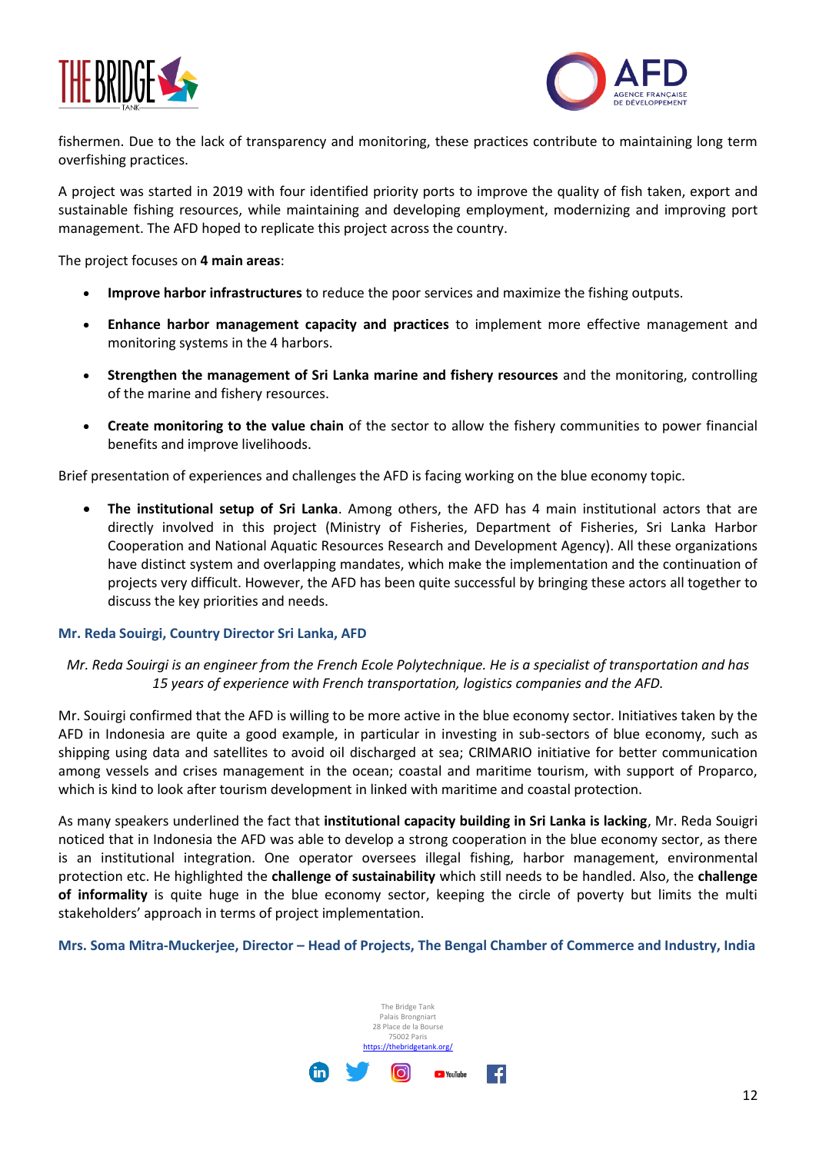![](_page_11_Picture_0.jpeg)

![](_page_11_Picture_1.jpeg)

fishermen. Due to the lack of transparency and monitoring, these practices contribute to maintaining long term overfishing practices.

A project was started in 2019 with four identified priority ports to improve the quality of fish taken, export and sustainable fishing resources, while maintaining and developing employment, modernizing and improving port management. The AFD hoped to replicate this project across the country.

The project focuses on **4 main areas**:

- **Improve harbor infrastructures** to reduce the poor services and maximize the fishing outputs.
- **Enhance harbor management capacity and practices** to implement more effective management and monitoring systems in the 4 harbors.
- **Strengthen the management of Sri Lanka marine and fishery resources** and the monitoring, controlling of the marine and fishery resources.
- **Create monitoring to the value chain** of the sector to allow the fishery communities to power financial benefits and improve livelihoods.

Brief presentation of experiences and challenges the AFD is facing working on the blue economy topic.

• **The institutional setup of Sri Lanka**. Among others, the AFD has 4 main institutional actors that are directly involved in this project (Ministry of Fisheries, Department of Fisheries, Sri Lanka Harbor Cooperation and National Aquatic Resources Research and Development Agency). All these organizations have distinct system and overlapping mandates, which make the implementation and the continuation of projects very difficult. However, the AFD has been quite successful by bringing these actors all together to discuss the key priorities and needs.

## **Mr. Reda Souirgi, Country Director Sri Lanka, AFD**

## *Mr. Reda Souirgi is an engineer from the French Ecole Polytechnique. He is a specialist of transportation and has 15 years of experience with French transportation, logistics companies and the AFD.*

Mr. Souirgi confirmed that the AFD is willing to be more active in the blue economy sector. Initiatives taken by the AFD in Indonesia are quite a good example, in particular in investing in sub-sectors of blue economy, such as shipping using data and satellites to avoid oil discharged at sea; CRIMARIO initiative for better communication among vessels and crises management in the ocean; coastal and maritime tourism, with support of Proparco, which is kind to look after tourism development in linked with maritime and coastal protection.

As many speakers underlined the fact that **institutional capacity building in Sri Lanka is lacking**, Mr. Reda Souigri noticed that in Indonesia the AFD was able to develop a strong cooperation in the blue economy sector, as there is an institutional integration. One operator oversees illegal fishing, harbor management, environmental protection etc. He highlighted the **challenge of sustainability** which still needs to be handled. Also, the **challenge of informality** is quite huge in the blue economy sector, keeping the circle of poverty but limits the multi stakeholders' approach in terms of project implementation.

**Mrs. Soma Mitra-Muckerjee, Director – Head of Projects, The Bengal Chamber of Commerce and Industry, India**

![](_page_11_Picture_16.jpeg)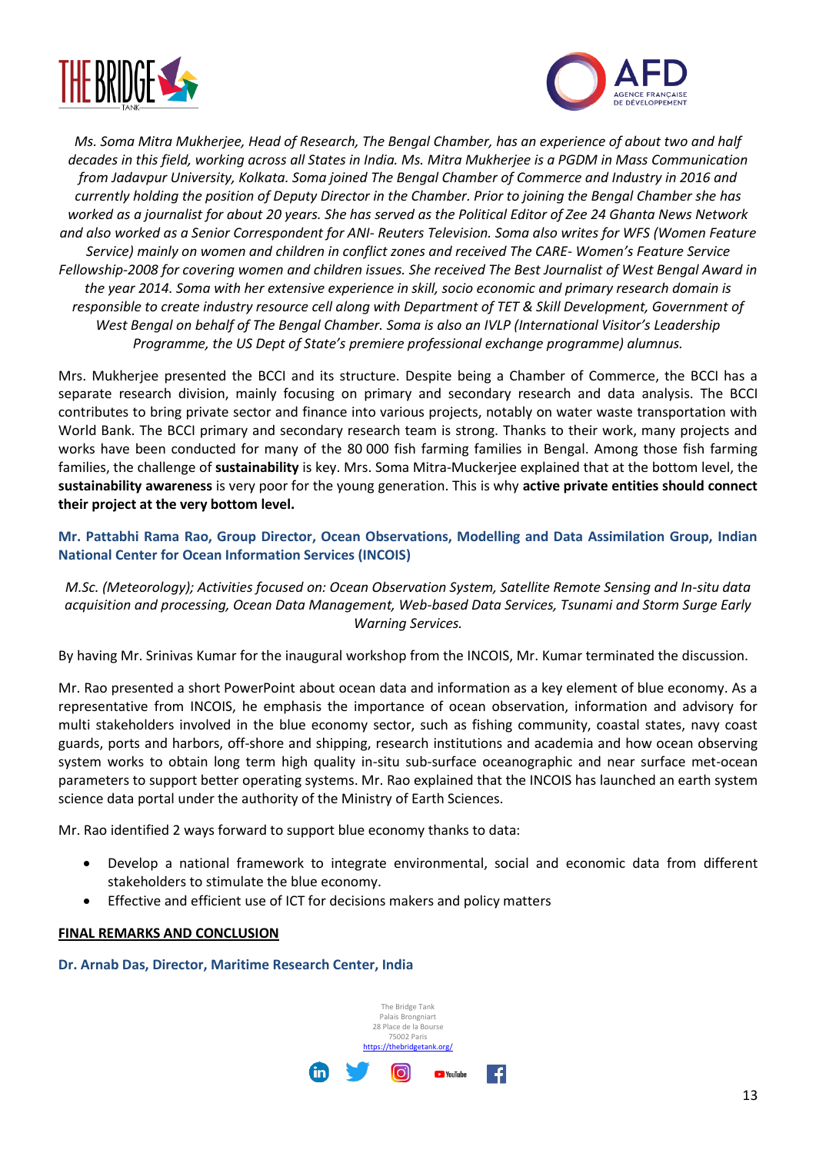![](_page_12_Picture_0.jpeg)

![](_page_12_Picture_1.jpeg)

*Ms. Soma Mitra Mukherjee, Head of Research, The Bengal Chamber, has an experience of about two and half decades in this field, working across all States in India. Ms. Mitra Mukherjee is a PGDM in Mass Communication from Jadavpur University, Kolkata. Soma joined The Bengal Chamber of Commerce and Industry in 2016 and currently holding the position of Deputy Director in the Chamber. Prior to joining the Bengal Chamber she has worked as a journalist for about 20 years. She has served as the Political Editor of Zee 24 Ghanta News Network and also worked as a Senior Correspondent for ANI- Reuters Television. Soma also writes for WFS (Women Feature Service) mainly on women and children in conflict zones and received The CARE- Women's Feature Service Fellowship-2008 for covering women and children issues. She received The Best Journalist of West Bengal Award in the year 2014. Soma with her extensive experience in skill, socio economic and primary research domain is responsible to create industry resource cell along with Department of TET & Skill Development, Government of West Bengal on behalf of The Bengal Chamber. Soma is also an IVLP (International Visitor's Leadership Programme, the US Dept of State's premiere professional exchange programme) alumnus.*

Mrs. Mukherjee presented the BCCI and its structure. Despite being a Chamber of Commerce, the BCCI has a separate research division, mainly focusing on primary and secondary research and data analysis. The BCCI contributes to bring private sector and finance into various projects, notably on water waste transportation with World Bank. The BCCI primary and secondary research team is strong. Thanks to their work, many projects and works have been conducted for many of the 80 000 fish farming families in Bengal. Among those fish farming families, the challenge of **sustainability** is key. Mrs. Soma Mitra-Muckerjee explained that at the bottom level, the **sustainability awareness** is very poor for the young generation. This is why **active private entities should connect their project at the very bottom level.**

**Mr. Pattabhi Rama Rao, Group Director, Ocean Observations, Modelling and Data Assimilation Group, Indian National Center for Ocean Information Services (INCOIS)**

*M.Sc. (Meteorology); Activities focused on: Ocean Observation System, Satellite Remote Sensing and In-situ data acquisition and processing, Ocean Data Management, Web-based Data Services, Tsunami and Storm Surge Early Warning Services.*

By having Mr. Srinivas Kumar for the inaugural workshop from the INCOIS, Mr. Kumar terminated the discussion.

Mr. Rao presented a short PowerPoint about ocean data and information as a key element of blue economy. As a representative from INCOIS, he emphasis the importance of ocean observation, information and advisory for multi stakeholders involved in the blue economy sector, such as fishing community, coastal states, navy coast guards, ports and harbors, off-shore and shipping, research institutions and academia and how ocean observing system works to obtain long term high quality in-situ sub-surface oceanographic and near surface met-ocean parameters to support better operating systems. Mr. Rao explained that the INCOIS has launched an earth system science data portal under the authority of the Ministry of Earth Sciences.

Mr. Rao identified 2 ways forward to support blue economy thanks to data:

- Develop a national framework to integrate environmental, social and economic data from different stakeholders to stimulate the blue economy.
- Effective and efficient use of ICT for decisions makers and policy matters

## **FINAL REMARKS AND CONCLUSION**

**Dr. Arnab Das, Director, Maritime Research Center, India**

![](_page_12_Picture_13.jpeg)